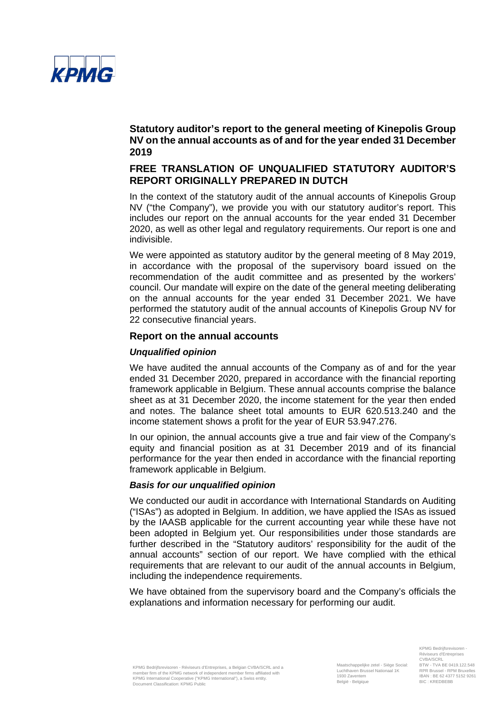

# **FREE TRANSLATION OF UNQUALIFIED STATUTORY AUDITOR'S REPORT ORIGINALLY PREPARED IN DUTCH**

In the context of the statutory audit of the annual accounts of Kinepolis Group NV ("the Company"), we provide you with our statutory auditor's report. This includes our report on the annual accounts for the year ended 31 December 2020, as well as other legal and regulatory requirements. Our report is one and indivisible.

We were appointed as statutory auditor by the general meeting of 8 May 2019. in accordance with the proposal of the supervisory board issued on the recommendation of the audit committee and as presented by the workers' council. Our mandate will expire on the date of the general meeting deliberating on the annual accounts for the year ended 31 December 2021. We have performed the statutory audit of the annual accounts of Kinepolis Group NV for 22 consecutive financial years.

### **Report on the annual accounts**

## *Unqualified opinion*

We have audited the annual accounts of the Company as of and for the year ended 31 December 2020, prepared in accordance with the financial reporting framework applicable in Belgium. These annual accounts comprise the balance sheet as at 31 December 2020, the income statement for the year then ended and notes. The balance sheet total amounts to EUR 620.513.240 and the income statement shows a profit for the year of EUR 53.947.276.

In our opinion, the annual accounts give a true and fair view of the Company's equity and financial position as at 31 December 2019 and of its financial performance for the year then ended in accordance with the financial reporting framework applicable in Belgium.

### *Basis for our unqualified opinion*

We conducted our audit in accordance with International Standards on Auditing ("ISAs") as adopted in Belgium. In addition, we have applied the ISAs as issued by the IAASB applicable for the current accounting year while these have not been adopted in Belgium yet. Our responsibilities under those standards are further described in the "Statutory auditors' responsibility for the audit of the annual accounts" section of our report. We have complied with the ethical requirements that are relevant to our audit of the annual accounts in Belgium, including the independence requirements.

We have obtained from the supervisory board and the Company's officials the explanations and information necessary for performing our audit.

KPMG Bedrijfsrevisoren Réviseurs d'Entreprises CVBA/SCRL BTW - TVA BE 0419.122.548 RPR Brussel - RPM Bruxelles IBAN : BE 62 4377 5152 9261 BIC : KREDBEBB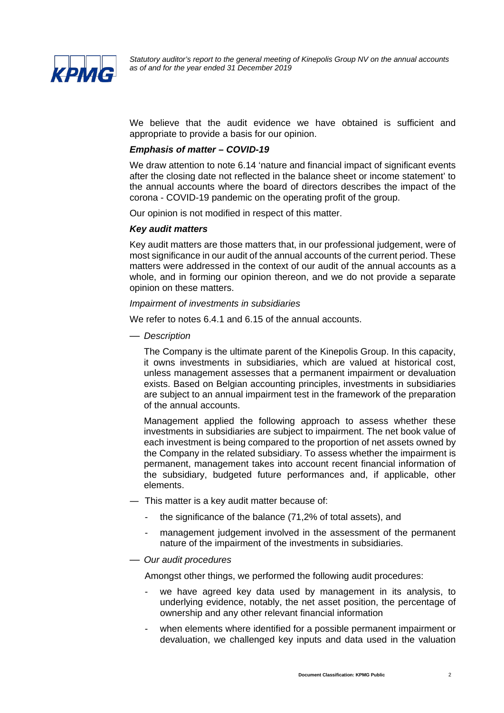

We believe that the audit evidence we have obtained is sufficient and appropriate to provide a basis for our opinion.

### *Emphasis of matter – COVID-19*

We draw attention to note 6.14 'nature and financial impact of significant events after the closing date not reflected in the balance sheet or income statement' to the annual accounts where the board of directors describes the impact of the corona - COVID-19 pandemic on the operating profit of the group.

Our opinion is not modified in respect of this matter.

### *Key audit matters*

Key audit matters are those matters that, in our professional judgement, were of most significance in our audit of the annual accounts of the current period. These matters were addressed in the context of our audit of the annual accounts as a whole, and in forming our opinion thereon, and we do not provide a separate opinion on these matters.

#### *Impairment of investments in subsidiaries*

We refer to notes 6.4.1 and 6.15 of the annual accounts.

— *Description*

The Company is the ultimate parent of the Kinepolis Group. In this capacity, it owns investments in subsidiaries, which are valued at historical cost, unless management assesses that a permanent impairment or devaluation exists. Based on Belgian accounting principles, investments in subsidiaries are subject to an annual impairment test in the framework of the preparation of the annual accounts.

Management applied the following approach to assess whether these investments in subsidiaries are subject to impairment. The net book value of each investment is being compared to the proportion of net assets owned by the Company in the related subsidiary. To assess whether the impairment is permanent, management takes into account recent financial information of the subsidiary, budgeted future performances and, if applicable, other elements.

- ― This matter is a key audit matter because of:
	- the significance of the balance (71,2% of total assets), and
	- management judgement involved in the assessment of the permanent nature of the impairment of the investments in subsidiaries.
- *Our audit procedures*

Amongst other things, we performed the following audit procedures:

- we have agreed key data used by management in its analysis, to underlying evidence, notably, the net asset position, the percentage of ownership and any other relevant financial information
- when elements where identified for a possible permanent impairment or devaluation, we challenged key inputs and data used in the valuation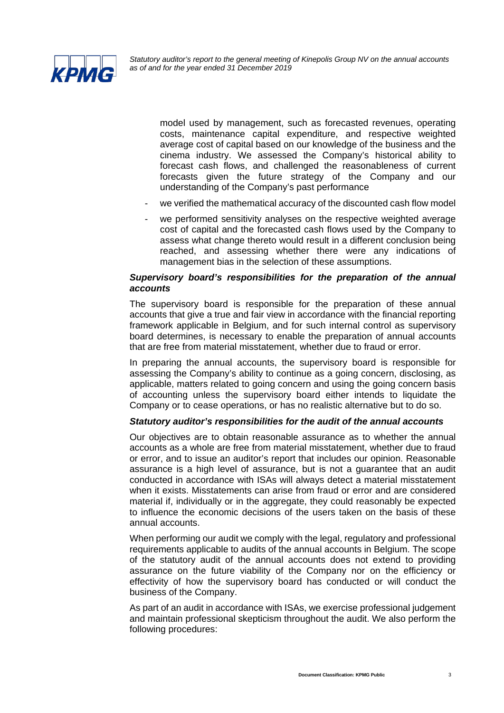

model used by management, such as forecasted revenues, operating costs, maintenance capital expenditure, and respective weighted average cost of capital based on our knowledge of the business and the cinema industry. We assessed the Company's historical ability to forecast cash flows, and challenged the reasonableness of current forecasts given the future strategy of the Company and our understanding of the Company's past performance

- we verified the mathematical accuracy of the discounted cash flow model
- we performed sensitivity analyses on the respective weighted average cost of capital and the forecasted cash flows used by the Company to assess what change thereto would result in a different conclusion being reached, and assessing whether there were any indications of management bias in the selection of these assumptions.

## *Supervisory board's responsibilities for the preparation of the annual accounts*

The supervisory board is responsible for the preparation of these annual accounts that give a true and fair view in accordance with the financial reporting framework applicable in Belgium, and for such internal control as supervisory board determines, is necessary to enable the preparation of annual accounts that are free from material misstatement, whether due to fraud or error.

In preparing the annual accounts, the supervisory board is responsible for assessing the Company's ability to continue as a going concern, disclosing, as applicable, matters related to going concern and using the going concern basis of accounting unless the supervisory board either intends to liquidate the Company or to cease operations, or has no realistic alternative but to do so.

# *Statutory auditor's responsibilities for the audit of the annual accounts*

Our objectives are to obtain reasonable assurance as to whether the annual accounts as a whole are free from material misstatement, whether due to fraud or error, and to issue an auditor's report that includes our opinion. Reasonable assurance is a high level of assurance, but is not a guarantee that an audit conducted in accordance with ISAs will always detect a material misstatement when it exists. Misstatements can arise from fraud or error and are considered material if, individually or in the aggregate, they could reasonably be expected to influence the economic decisions of the users taken on the basis of these annual accounts.

When performing our audit we comply with the legal, regulatory and professional requirements applicable to audits of the annual accounts in Belgium. The scope of the statutory audit of the annual accounts does not extend to providing assurance on the future viability of the Company nor on the efficiency or effectivity of how the supervisory board has conducted or will conduct the business of the Company.

As part of an audit in accordance with ISAs, we exercise professional judgement and maintain professional skepticism throughout the audit. We also perform the following procedures: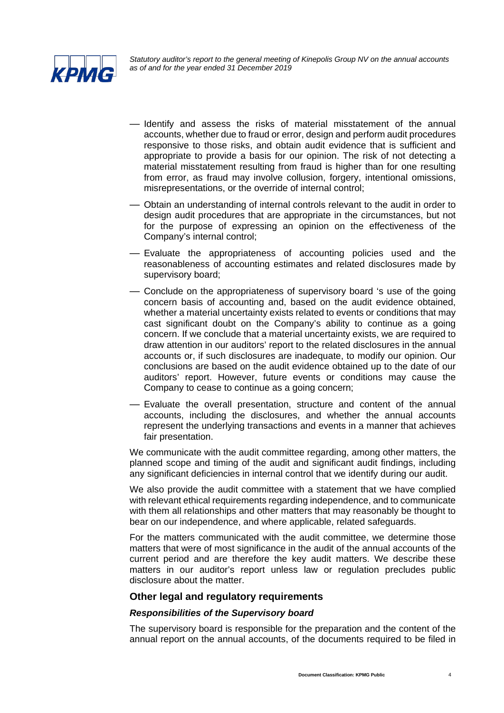

- Identify and assess the risks of material misstatement of the annual accounts, whether due to fraud or error, design and perform audit procedures responsive to those risks, and obtain audit evidence that is sufficient and appropriate to provide a basis for our opinion. The risk of not detecting a material misstatement resulting from fraud is higher than for one resulting from error, as fraud may involve collusion, forgery, intentional omissions, misrepresentations, or the override of internal control;
- Obtain an understanding of internal controls relevant to the audit in order to design audit procedures that are appropriate in the circumstances, but not for the purpose of expressing an opinion on the effectiveness of the Company's internal control;
- Evaluate the appropriateness of accounting policies used and the reasonableness of accounting estimates and related disclosures made by supervisory board;
- Conclude on the appropriateness of supervisory board 's use of the going concern basis of accounting and, based on the audit evidence obtained, whether a material uncertainty exists related to events or conditions that may cast significant doubt on the Company's ability to continue as a going concern. If we conclude that a material uncertainty exists, we are required to draw attention in our auditors' report to the related disclosures in the annual accounts or, if such disclosures are inadequate, to modify our opinion. Our conclusions are based on the audit evidence obtained up to the date of our auditors' report. However, future events or conditions may cause the Company to cease to continue as a going concern;
- Evaluate the overall presentation, structure and content of the annual accounts, including the disclosures, and whether the annual accounts represent the underlying transactions and events in a manner that achieves fair presentation.

We communicate with the audit committee regarding, among other matters, the planned scope and timing of the audit and significant audit findings, including any significant deficiencies in internal control that we identify during our audit.

We also provide the audit committee with a statement that we have complied with relevant ethical requirements regarding independence, and to communicate with them all relationships and other matters that may reasonably be thought to bear on our independence, and where applicable, related safeguards.

For the matters communicated with the audit committee, we determine those matters that were of most significance in the audit of the annual accounts of the current period and are therefore the key audit matters. We describe these matters in our auditor's report unless law or regulation precludes public disclosure about the matter.

# **Other legal and regulatory requirements**

# *Responsibilities of the Supervisory board*

The supervisory board is responsible for the preparation and the content of the annual report on the annual accounts, of the documents required to be filed in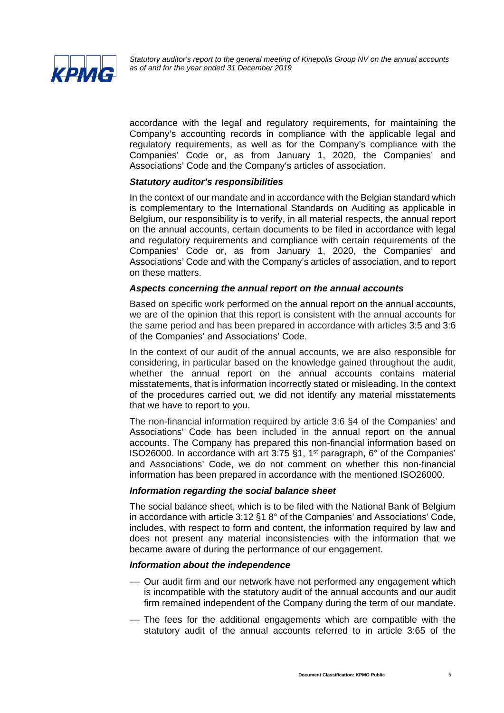

accordance with the legal and regulatory requirements, for maintaining the Company's accounting records in compliance with the applicable legal and regulatory requirements, as well as for the Company's compliance with the Companies' Code or, as from January 1, 2020, the Companies' and Associations' Code and the Company's articles of association.

### *Statutory auditor's responsibilities*

In the context of our mandate and in accordance with the Belgian standard which is complementary to the International Standards on Auditing as applicable in Belgium, our responsibility is to verify, in all material respects, the annual report on the annual accounts, certain documents to be filed in accordance with legal and regulatory requirements and compliance with certain requirements of the Companies' Code or, as from January 1, 2020, the Companies' and Associations' Code and with the Company's articles of association, and to report on these matters.

### *Aspects concerning the annual report on the annual accounts*

Based on specific work performed on the annual report on the annual accounts, we are of the opinion that this report is consistent with the annual accounts for the same period and has been prepared in accordance with articles 3:5 and 3:6 of the Companies' and Associations' Code.

In the context of our audit of the annual accounts, we are also responsible for considering, in particular based on the knowledge gained throughout the audit, whether the annual report on the annual accounts contains material misstatements, that is information incorrectly stated or misleading. In the context of the procedures carried out, we did not identify any material misstatements that we have to report to you.

The non-financial information required by article 3:6 §4 of the Companies' and Associations' Code has been included in the annual report on the annual accounts. The Company has prepared this non-financial information based on ISO26000. In accordance with art 3:75  $\S$ 1, 1<sup>st</sup> paragraph, 6° of the Companies' and Associations' Code, we do not comment on whether this non-financial information has been prepared in accordance with the mentioned ISO26000.

### *Information regarding the social balance sheet*

The social balance sheet, which is to be filed with the National Bank of Belgium in accordance with article 3:12 §1 8° of the Companies' and Associations' Code, includes, with respect to form and content, the information required by law and does not present any material inconsistencies with the information that we became aware of during the performance of our engagement.

### *Information about the independence*

- Our audit firm and our network have not performed any engagement which is incompatible with the statutory audit of the annual accounts and our audit firm remained independent of the Company during the term of our mandate.
- The fees for the additional engagements which are compatible with the statutory audit of the annual accounts referred to in article 3:65 of the